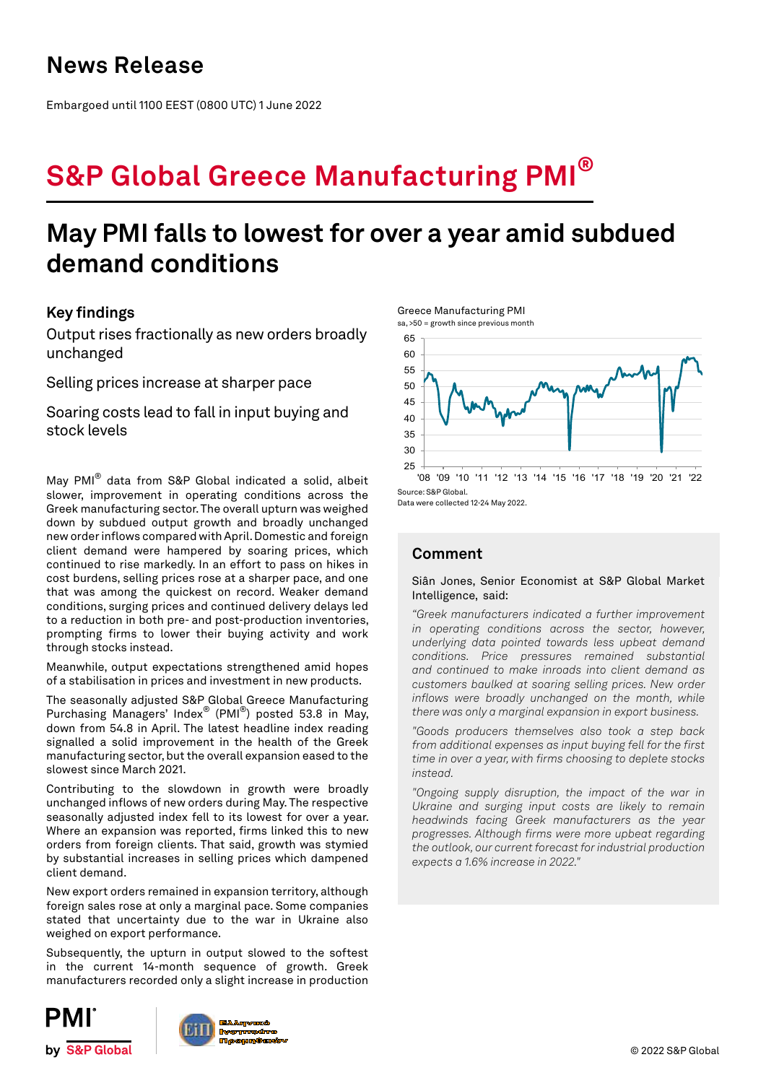## **News Release**

Embargoed until 1100 EEST (0800 UTC) 1 June 2022

# **S&P Global Greece Manufacturing PMI®**

## **May PMI falls to lowest for over a year amid subdued demand conditions**

## **Key findings**

Output rises fractionally as new orders broadly unchanged

Selling prices increase at sharper pace

Soaring costs lead to fall in input buying and stock levels

May PMI® data from S&P Global indicated a solid, albeit slower, improvement in operating conditions across the Greek manufacturing sector. The overall upturn was weighed down by subdued output growth and broadly unchanged new order inflows compared with April. Domestic and foreign client demand were hampered by soaring prices, which continued to rise markedly. In an effort to pass on hikes in cost burdens, selling prices rose at a sharper pace, and one that was among the quickest on record. Weaker demand conditions, surging prices and continued delivery delays led to a reduction in both pre- and post-production inventories, prompting firms to lower their buying activity and work through stocks instead.

Meanwhile, output expectations strengthened amid hopes of a stabilisation in prices and investment in new products.

The seasonally adjusted S&P Global Greece Manufacturing Purchasing Managers' Index® (PMI®) posted 53.8 in May, down from 54.8 in April. The latest headline index reading signalled a solid improvement in the health of the Greek manufacturing sector, but the overall expansion eased to the slowest since March 2021.

Contributing to the slowdown in growth were broadly unchanged inflows of new orders during May. The respective seasonally adjusted index fell to its lowest for over a year. Where an expansion was reported, firms linked this to new orders from foreign clients. That said, growth was stymied by substantial increases in selling prices which dampened client demand.

New export orders remained in expansion territory, although foreign sales rose at only a marginal pace. Some companies stated that uncertainty due to the war in Ukraine also weighed on export performance.

Subsequently, the upturn in output slowed to the softest in the current 14-month sequence of growth. Greek manufacturers recorded only a slight increase in production







Data were collected 12-24 May 2022.

Greece Manufacturing PMI

## **Comment**

### Siân Jones, Senior Economist at S&P Global Market Intelligence, said:

*"Greek manufacturers indicated a further improvement in operating conditions across the sector, however, underlying data pointed towards less upbeat demand conditions. Price pressures remained substantial and continued to make inroads into client demand as customers baulked at soaring selling prices. New order inflows were broadly unchanged on the month, while there was only a marginal expansion in export business.*

*"Goods producers themselves also took a step back from additional expenses as input buying fell for the first time in over a year, with firms choosing to deplete stocks instead.*

*"Ongoing supply disruption, the impact of the war in Ukraine and surging input costs are likely to remain headwinds facing Greek manufacturers as the year progresses. Although firms were more upbeat regarding the outlook, our current forecast for industrial production expects a 1.6% increase in 2022."*